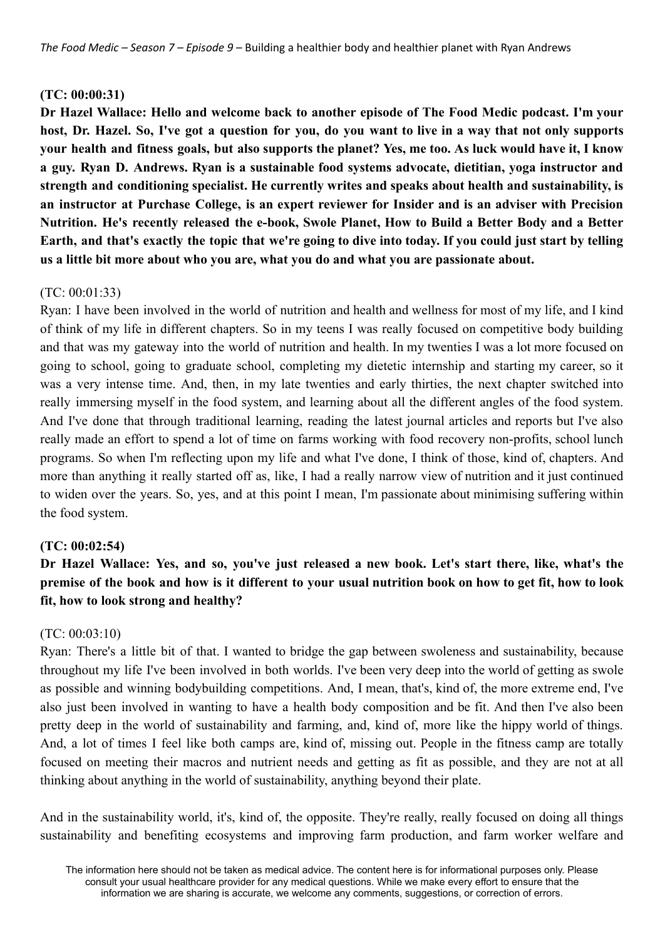### **(TC: 00:00:31)**

**Dr Hazel Wallace: Hello and welcome back to another episode of The Food Medic podcast. I'm your** host, Dr. Hazel, So, I've got a question for you, do you want to live in a way that not only supports your health and fitness goals, but also supports the planet? Yes, me too. As luck would have it, I know **a guy. Ryan D. Andrews. Ryan is a sustainable food systems advocate, dietitian, yoga instructor and strength and conditioning specialist. He currently writes and speaks about health and sustainability, is an instructor at Purchase College, is an expert reviewer for Insider and is an adviser with Precision Nutrition. He's recently released the e-book, Swole Planet, How to Build a Better Body and a Better** Earth, and that's exactly the topic that we're going to dive into today. If you could just start by telling **us a little bit more about who you are, what you do and what you are passionate about.**

## $(TC: 00:01:33)$

Ryan: I have been involved in the world of nutrition and health and wellness for most of my life, and I kind of think of my life in different chapters. So in my teens I was really focused on competitive body building and that was my gateway into the world of nutrition and health. In my twenties I was a lot more focused on going to school, going to graduate school, completing my dietetic internship and starting my career, so it was a very intense time. And, then, in my late twenties and early thirties, the next chapter switched into really immersing myself in the food system, and learning about all the different angles of the food system. And I've done that through traditional learning, reading the latest journal articles and reports but I've also really made an effort to spend a lot of time on farms working with food recovery non-profits, school lunch programs. So when I'm reflecting upon my life and what I've done, I think of those, kind of, chapters. And more than anything it really started off as, like, I had a really narrow view of nutrition and it just continued to widen over the years. So, yes, and at this point I mean, I'm passionate about minimising suffering within the food system.

## **(TC: 00:02:54)**

# Dr Hazel Wallace: Yes, and so, you've just released a new book. Let's start there, like, what's the premise of the book and how is it different to your usual nutrition book on how to get fit, how to look **fit, how to look strong and healthy?**

### (TC: 00:03:10)

Ryan: There's a little bit of that. I wanted to bridge the gap between swoleness and sustainability, because throughout my life I've been involved in both worlds. I've been very deep into the world of getting as swole as possible and winning bodybuilding competitions. And, I mean, that's, kind of, the more extreme end, I've also just been involved in wanting to have a health body composition and be fit. And then I've also been pretty deep in the world of sustainability and farming, and, kind of, more like the hippy world of things. And, a lot of times I feel like both camps are, kind of, missing out. People in the fitness camp are totally focused on meeting their macros and nutrient needs and getting as fit as possible, and they are not at all thinking about anything in the world of sustainability, anything beyond their plate.

And in the sustainability world, it's, kind of, the opposite. They're really, really focused on doing all things sustainability and benefiting ecosystems and improving farm production, and farm worker welfare and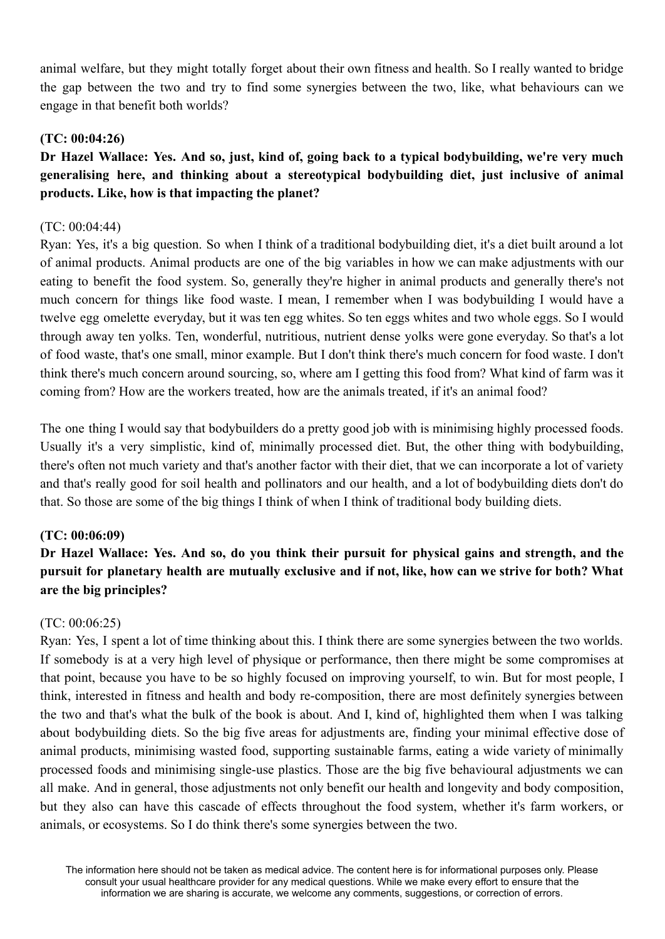animal welfare, but they might totally forget about their own fitness and health. So I really wanted to bridge the gap between the two and try to find some synergies between the two, like, what behaviours can we engage in that benefit both worlds?

# **(TC: 00:04:26)**

# Dr Hazel Wallace: Yes. And so, just, kind of, going back to a typical bodybuilding, we're very much **generalising here, and thinking about a stereotypical bodybuilding diet, just inclusive of animal products. Like, how is that impacting the planet?**

## (TC: 00:04:44)

Ryan: Yes, it's a big question. So when I think of a traditional bodybuilding diet, it's a diet built around a lot of animal products. Animal products are one of the big variables in how we can make adjustments with our eating to benefit the food system. So, generally they're higher in animal products and generally there's not much concern for things like food waste. I mean, I remember when I was bodybuilding I would have a twelve egg omelette everyday, but it was ten egg whites. So ten eggs whites and two whole eggs. So I would through away ten yolks. Ten, wonderful, nutritious, nutrient dense yolks were gone everyday. So that's a lot of food waste, that's one small, minor example. But I don't think there's much concern for food waste. I don't think there's much concern around sourcing, so, where am I getting this food from? What kind of farm was it coming from? How are the workers treated, how are the animals treated, if it's an animal food?

The one thing I would say that bodybuilders do a pretty good job with is minimising highly processed foods. Usually it's a very simplistic, kind of, minimally processed diet. But, the other thing with bodybuilding, there's often not much variety and that's another factor with their diet, that we can incorporate a lot of variety and that's really good for soil health and pollinators and our health, and a lot of bodybuilding diets don't do that. So those are some of the big things I think of when I think of traditional body building diets.

## **(TC: 00:06:09)**

# **Dr Hazel Wallace: Yes. And so, do you think their pursuit for physical gains and strength, and the** pursuit for planetary health are mutually exclusive and if not, like, how can we strive for both? What **are the big principles?**

## (TC: 00:06:25)

Ryan: Yes, I spent a lot of time thinking about this. I think there are some synergies between the two worlds. If somebody is at a very high level of physique or performance, then there might be some compromises at that point, because you have to be so highly focused on improving yourself, to win. But for most people, I think, interested in fitness and health and body re-composition, there are most definitely synergies between the two and that's what the bulk of the book is about. And I, kind of, highlighted them when I was talking about bodybuilding diets. So the big five areas for adjustments are, finding your minimal effective dose of animal products, minimising wasted food, supporting sustainable farms, eating a wide variety of minimally processed foods and minimising single-use plastics. Those are the big five behavioural adjustments we can all make. And in general, those adjustments not only benefit our health and longevity and body composition, but they also can have this cascade of effects throughout the food system, whether it's farm workers, or animals, or ecosystems. So I do think there's some synergies between the two.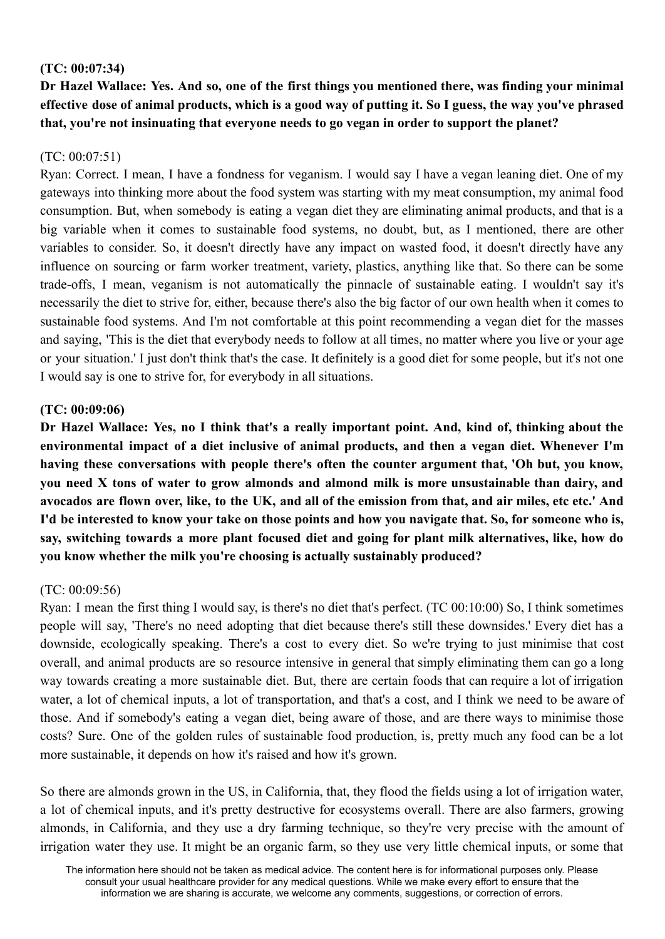## **(TC: 00:07:34)**

Dr Hazel Wallace: Yes. And so, one of the first things you mentioned there, was finding your minimal effective dose of animal products, which is a good way of putting it. So I guess, the way you've phrased **that, you're not insinuating that everyone needs to go vegan in order to support the planet?**

# $(TC: 00.07.51)$

Ryan: Correct. I mean, I have a fondness for veganism. I would say I have a vegan leaning diet. One of my gateways into thinking more about the food system was starting with my meat consumption, my animal food consumption. But, when somebody is eating a vegan diet they are eliminating animal products, and that is a big variable when it comes to sustainable food systems, no doubt, but, as I mentioned, there are other variables to consider. So, it doesn't directly have any impact on wasted food, it doesn't directly have any influence on sourcing or farm worker treatment, variety, plastics, anything like that. So there can be some trade-offs, I mean, veganism is not automatically the pinnacle of sustainable eating. I wouldn't say it's necessarily the diet to strive for, either, because there's also the big factor of our own health when it comes to sustainable food systems. And I'm not comfortable at this point recommending a vegan diet for the masses and saying, 'This is the diet that everybody needs to follow at all times, no matter where you live or your age or your situation.' I just don't think that's the case. It definitely is a good diet for some people, but it's not one I would say is one to strive for, for everybody in all situations.

# **(TC: 00:09:06)**

Dr Hazel Wallace: Yes, no I think that's a really important point. And, kind of, thinking about the **environmental impact of a diet inclusive of animal products, and then a vegan diet. Whenever I'm having these conversations with people there's often the counter argument that, 'Oh but, you know, you need X tons of water to grow almonds and almond milk is more unsustainable than dairy, and** avocados are flown over, like, to the UK, and all of the emission from that, and air miles, etc etc.' And I'd be interested to know your take on those points and how you navigate that. So, for someone who is, **say, switching towards a more plant focused diet and going for plant milk alternatives, like, how do you know whether the milk you're choosing is actually sustainably produced?**

## (TC: 00:09:56)

Ryan: I mean the first thing I would say, is there's no diet that's perfect. (TC 00:10:00) So, I think sometimes people will say, 'There's no need adopting that diet because there's still these downsides.' Every diet has a downside, ecologically speaking. There's a cost to every diet. So we're trying to just minimise that cost overall, and animal products are so resource intensive in general that simply eliminating them can go a long way towards creating a more sustainable diet. But, there are certain foods that can require a lot of irrigation water, a lot of chemical inputs, a lot of transportation, and that's a cost, and I think we need to be aware of those. And if somebody's eating a vegan diet, being aware of those, and are there ways to minimise those costs? Sure. One of the golden rules of sustainable food production, is, pretty much any food can be a lot more sustainable, it depends on how it's raised and how it's grown.

So there are almonds grown in the US, in California, that, they flood the fields using a lot of irrigation water, a lot of chemical inputs, and it's pretty destructive for ecosystems overall. There are also farmers, growing almonds, in California, and they use a dry farming technique, so they're very precise with the amount of irrigation water they use. It might be an organic farm, so they use very little chemical inputs, or some that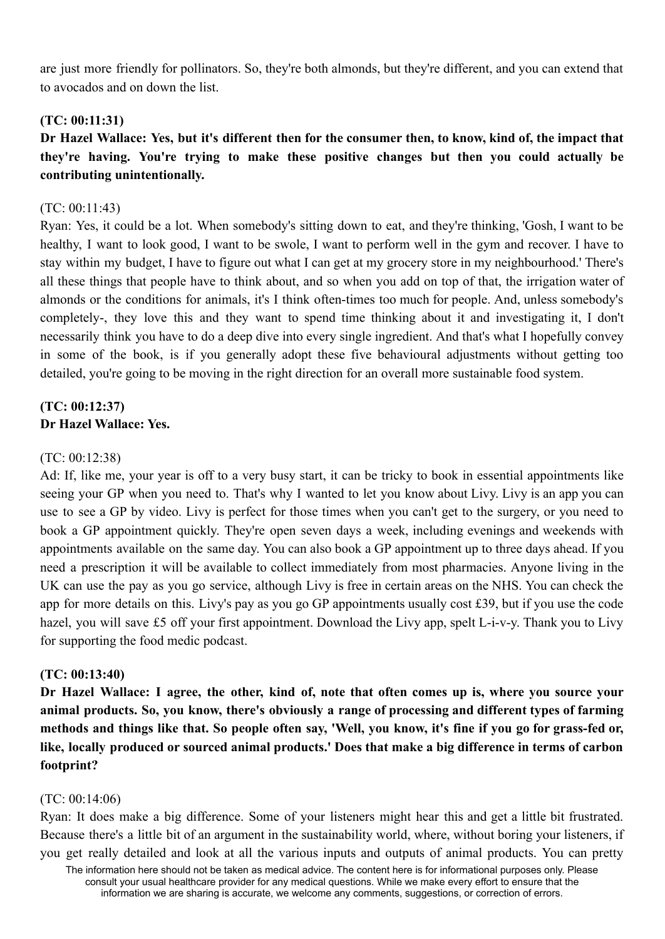are just more friendly for pollinators. So, they're both almonds, but they're different, and you can extend that to avocados and on down the list.

## **(TC: 00:11:31)**

Dr Hazel Wallace: Yes, but it's different then for the consumer then, to know, kind of, the impact that **they're having. You're trying to make these positive changes but then you could actually be contributing unintentionally.**

### (TC: 00:11:43)

Ryan: Yes, it could be a lot. When somebody's sitting down to eat, and they're thinking, 'Gosh, I want to be healthy, I want to look good, I want to be swole, I want to perform well in the gym and recover. I have to stay within my budget, I have to figure out what I can get at my grocery store in my neighbourhood.' There's all these things that people have to think about, and so when you add on top of that, the irrigation water of almonds or the conditions for animals, it's I think often-times too much for people. And, unless somebody's completely-, they love this and they want to spend time thinking about it and investigating it, I don't necessarily think you have to do a deep dive into every single ingredient. And that's what I hopefully convey in some of the book, is if you generally adopt these five behavioural adjustments without getting too detailed, you're going to be moving in the right direction for an overall more sustainable food system.

# **(TC: 00:12:37) Dr Hazel Wallace: Yes.**

### (TC: 00:12:38)

Ad: If, like me, your year is off to a very busy start, it can be tricky to book in essential appointments like seeing your GP when you need to. That's why I wanted to let you know about Livy. Livy is an app you can use to see a GP by video. Livy is perfect for those times when you can't get to the surgery, or you need to book a GP appointment quickly. They're open seven days a week, including evenings and weekends with appointments available on the same day. You can also book a GP appointment up to three days ahead. If you need a prescription it will be available to collect immediately from most pharmacies. Anyone living in the UK can use the pay as you go service, although Livy is free in certain areas on the NHS. You can check the app for more details on this. Livy's pay as you go GP appointments usually cost £39, but if you use the code hazel, you will save £5 off your first appointment. Download the Livy app, spelt L-i-v-y. Thank you to Livy for supporting the food medic podcast.

### **(TC: 00:13:40)**

Dr Hazel Wallace: I agree, the other, kind of, note that often comes up is, where you source your **animal products. So, you know, there's obviously a range of processing and different types of farming** methods and things like that. So people often say, 'Well, you know, it's fine if you go for grass-fed or, **like, locally produced or sourced animal products.' Does that make a big difference in terms of carbon footprint?**

### (TC: 00:14:06)

Ryan: It does make a big difference. Some of your listeners might hear this and get a little bit frustrated. Because there's a little bit of an argument in the sustainability world, where, without boring your listeners, if you get really detailed and look at all the various inputs and outputs of animal products. You can pretty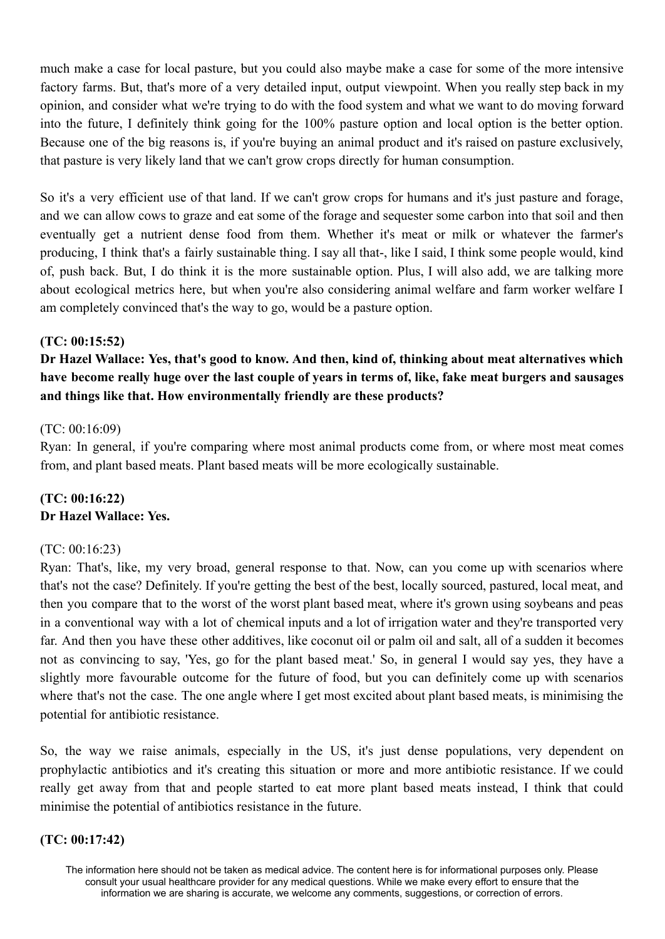much make a case for local pasture, but you could also maybe make a case for some of the more intensive factory farms. But, that's more of a very detailed input, output viewpoint. When you really step back in my opinion, and consider what we're trying to do with the food system and what we want to do moving forward into the future, I definitely think going for the 100% pasture option and local option is the better option. Because one of the big reasons is, if you're buying an animal product and it's raised on pasture exclusively, that pasture is very likely land that we can't grow crops directly for human consumption.

So it's a very efficient use of that land. If we can't grow crops for humans and it's just pasture and forage, and we can allow cows to graze and eat some of the forage and sequester some carbon into that soil and then eventually get a nutrient dense food from them. Whether it's meat or milk or whatever the farmer's producing, I think that's a fairly sustainable thing. I say all that-, like I said, I think some people would, kind of, push back. But, I do think it is the more sustainable option. Plus, I will also add, we are talking more about ecological metrics here, but when you're also considering animal welfare and farm worker welfare I am completely convinced that's the way to go, would be a pasture option.

## **(TC: 00:15:52)**

# **Dr Hazel Wallace: Yes, that's good to know. And then, kind of, thinking about meat alternatives which** have become really huge over the last couple of years in terms of, like, fake meat burgers and sausages **and things like that. How environmentally friendly are these products?**

### (TC: 00:16:09)

Ryan: In general, if you're comparing where most animal products come from, or where most meat comes from, and plant based meats. Plant based meats will be more ecologically sustainable.

# **(TC: 00:16:22) Dr Hazel Wallace: Yes.**

### (TC: 00:16:23)

Ryan: That's, like, my very broad, general response to that. Now, can you come up with scenarios where that's not the case? Definitely. If you're getting the best of the best, locally sourced, pastured, local meat, and then you compare that to the worst of the worst plant based meat, where it's grown using soybeans and peas in a conventional way with a lot of chemical inputs and a lot of irrigation water and they're transported very far. And then you have these other additives, like coconut oil or palm oil and salt, all of a sudden it becomes not as convincing to say, 'Yes, go for the plant based meat.' So, in general I would say yes, they have a slightly more favourable outcome for the future of food, but you can definitely come up with scenarios where that's not the case. The one angle where I get most excited about plant based meats, is minimising the potential for antibiotic resistance.

So, the way we raise animals, especially in the US, it's just dense populations, very dependent on prophylactic antibiotics and it's creating this situation or more and more antibiotic resistance. If we could really get away from that and people started to eat more plant based meats instead, I think that could minimise the potential of antibiotics resistance in the future.

## **(TC: 00:17:42)**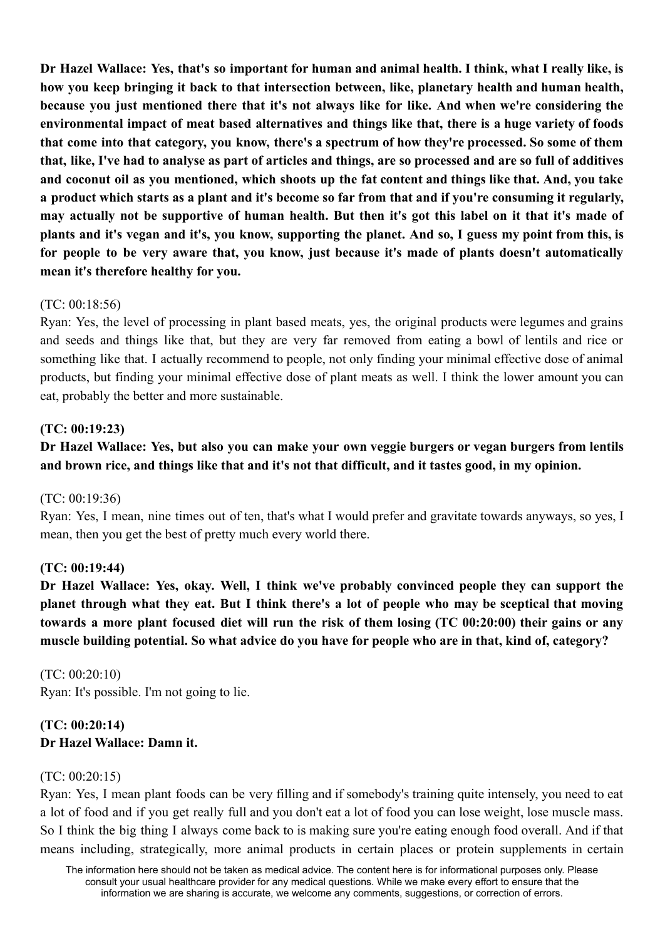Dr Hazel Wallace: Yes, that's so important for human and animal health. I think, what I really like, is **how you keep bringing it back to that intersection between, like, planetary health and human health, because you just mentioned there that it's not always like for like. And when we're considering the environmental impact of meat based alternatives and things like that, there is a huge variety of foods** that come into that category, you know, there's a spectrum of how they're processed. So some of them that, like, I've had to analyse as part of articles and things, are so processed and are so full of additives and coconut oil as you mentioned, which shoots up the fat content and things like that. And, you take a product which starts as a plant and it's become so far from that and if you're consuming it regularly. may actually not be supportive of human health. But then it's got this label on it that it's made of plants and it's vegan and it's, you know, supporting the planet. And so, I guess my point from this, is **for people to be very aware that, you know, just because it's made of plants doesn't automatically mean it's therefore healthy for you.**

### (TC: 00:18:56)

Ryan: Yes, the level of processing in plant based meats, yes, the original products were legumes and grains and seeds and things like that, but they are very far removed from eating a bowl of lentils and rice or something like that. I actually recommend to people, not only finding your minimal effective dose of animal products, but finding your minimal effective dose of plant meats as well. I think the lower amount you can eat, probably the better and more sustainable.

## **(TC: 00:19:23)**

# **Dr Hazel Wallace: Yes, but also you can make your own veggie burgers or vegan burgers from lentils and brown rice, and things like that and it's not that difficult, and it tastes good, in my opinion.**

### (TC: 00:19:36)

Ryan: Yes, I mean, nine times out of ten, that's what I would prefer and gravitate towards anyways, so yes, I mean, then you get the best of pretty much every world there.

### **(TC: 00:19:44)**

**Dr Hazel Wallace: Yes, okay. Well, I think we've probably convinced people they can support the** planet through what they eat. But I think there's a lot of people who may be sceptical that moving towards a more plant focused diet will run the risk of them losing (TC 00:20:00) their gains or any **muscle building potential. So what advice do you have for people who are in that, kind of, category?**

(TC: 00:20:10) Ryan: It's possible. I'm not going to lie.

# **(TC: 00:20:14) Dr Hazel Wallace: Damn it.**

### (TC: 00:20:15)

Ryan: Yes, I mean plant foods can be very filling and if somebody's training quite intensely, you need to eat a lot of food and if you get really full and you don't eat a lot of food you can lose weight, lose muscle mass. So I think the big thing I always come back to is making sure you're eating enough food overall. And if that means including, strategically, more animal products in certain places or protein supplements in certain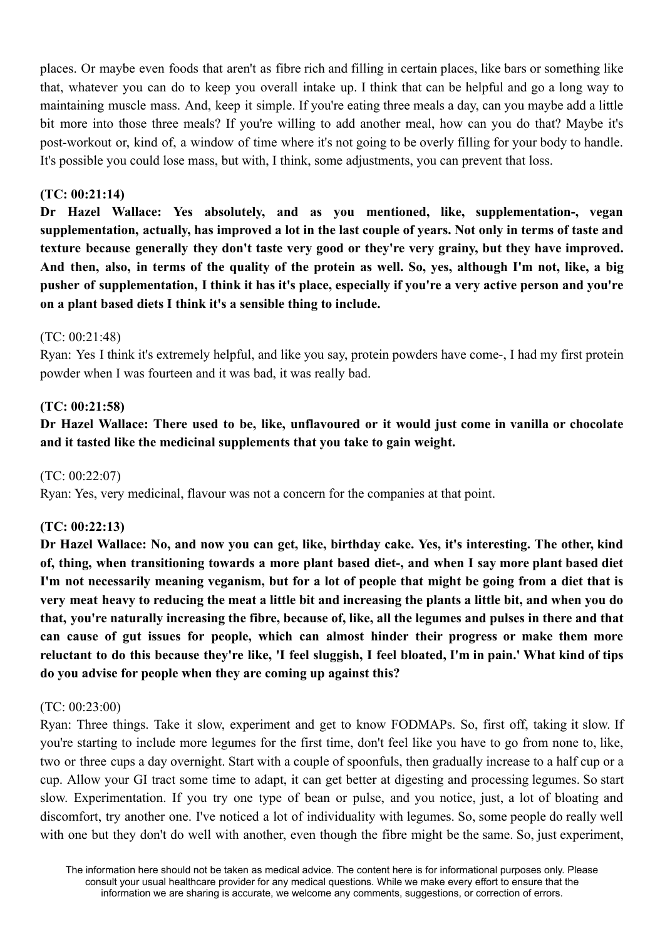places. Or maybe even foods that aren't as fibre rich and filling in certain places, like bars or something like that, whatever you can do to keep you overall intake up. I think that can be helpful and go a long way to maintaining muscle mass. And, keep it simple. If you're eating three meals a day, can you maybe add a little bit more into those three meals? If you're willing to add another meal, how can you do that? Maybe it's post-workout or, kind of, a window of time where it's not going to be overly filling for your body to handle. It's possible you could lose mass, but with, I think, some adjustments, you can prevent that loss.

### **(TC: 00:21:14)**

**Dr Hazel Wallace: Yes absolutely, and as you mentioned, like, supplementation-, vegan** supplementation, actually, has improved a lot in the last couple of vears. Not only in terms of taste and **texture because generally they don't taste very good or they're very grainy, but they have improved.** And then, also, in terms of the quality of the protein as well. So, ves, although I'm not, like, a big pusher of supplementation, I think it has it's place, especially if you're a very active person and you're **on a plant based diets I think it's a sensible thing to include.**

### $(TC: 00.21.48)$

Ryan: Yes I think it's extremely helpful, and like you say, protein powders have come-, I had my first protein powder when I was fourteen and it was bad, it was really bad.

## **(TC: 00:21:58)**

# Dr Hazel Wallace: There used to be, like, unflavoured or it would just come in vanilla or chocolate **and it tasted like the medicinal supplements that you take to gain weight.**

(TC: 00:22:07)

Ryan: Yes, very medicinal, flavour was not a concern for the companies at that point.

## **(TC: 00:22:13)**

Dr Hazel Wallace: No, and now you can get, like, birthday cake. Yes, it's interesting. The other, kind of, thing, when transitioning towards a more plant based diet-, and when I say more plant based diet I'm not necessarily meaning veganism, but for a lot of people that might be going from a diet that is very meat heavy to reducing the meat a little bit and increasing the plants a little bit, and when you do that, you're naturally increasing the fibre, because of, like, all the legumes and pulses in there and that **can cause of gut issues for people, which can almost hinder their progress or make them more** reluctant to do this because they're like, 'I feel sluggish, I feel bloated, I'm in pain.' What kind of tips **do you advise for people when they are coming up against this?**

### (TC: 00:23:00)

Ryan: Three things. Take it slow, experiment and get to know FODMAPs. So, first off, taking it slow. If you're starting to include more legumes for the first time, don't feel like you have to go from none to, like, two or three cups a day overnight. Start with a couple of spoonfuls, then gradually increase to a half cup or a cup. Allow your GI tract some time to adapt, it can get better at digesting and processing legumes. So start slow. Experimentation. If you try one type of bean or pulse, and you notice, just, a lot of bloating and discomfort, try another one. I've noticed a lot of individuality with legumes. So, some people do really well with one but they don't do well with another, even though the fibre might be the same. So, just experiment,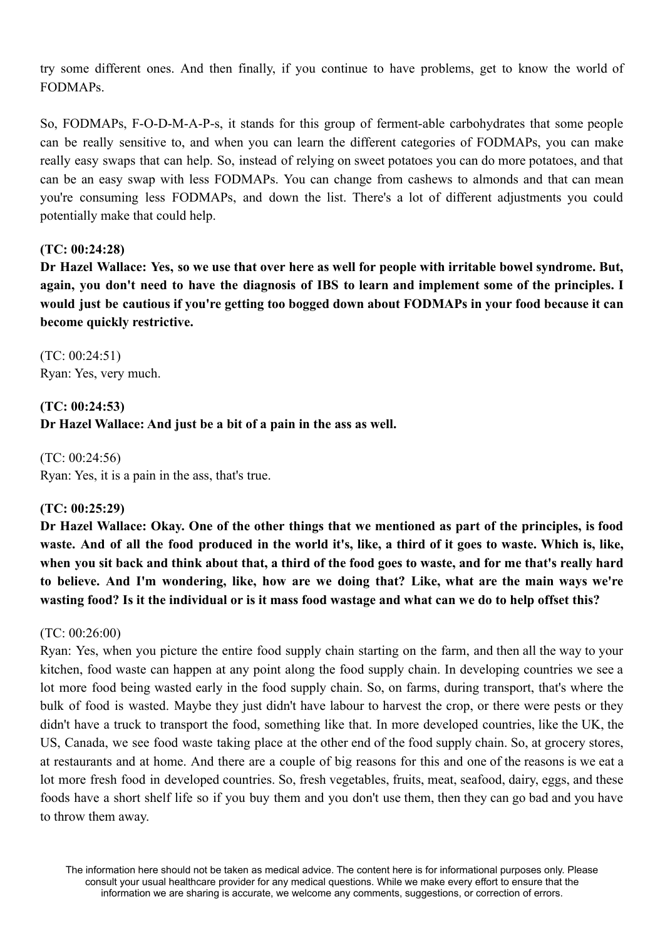try some different ones. And then finally, if you continue to have problems, get to know the world of FODMAPs.

So, FODMAPs, F-O-D-M-A-P-s, it stands for this group of ferment-able carbohydrates that some people can be really sensitive to, and when you can learn the different categories of FODMAPs, you can make really easy swaps that can help. So, instead of relying on sweet potatoes you can do more potatoes, and that can be an easy swap with less FODMAPs. You can change from cashews to almonds and that can mean you're consuming less FODMAPs, and down the list. There's a lot of different adjustments you could potentially make that could help.

## **(TC: 00:24:28)**

Dr Hazel Wallace: Yes, so we use that over here as well for people with irritable bowel syndrome. But, again, you don't need to have the diagnosis of IBS to learn and implement some of the principles. I **would just be cautious if you're getting too bogged down about FODMAPs in your food because it can become quickly restrictive.**

(TC: 00:24:51) Ryan: Yes, very much.

**(TC: 00:24:53) Dr Hazel Wallace: And just be a bit of a pain in the ass as well.**

(TC: 00:24:56) Ryan: Yes, it is a pain in the ass, that's true.

# **(TC: 00:25:29)**

Dr Hazel Wallace: Okay. One of the other things that we mentioned as part of the principles, is food waste. And of all the food produced in the world it's, like, a third of it goes to waste. Which is, like, when you sit back and think about that, a third of the food goes to waste, and for me that's really hard **to believe. And I'm wondering, like, how are we doing that? Like, what are the main ways we're wasting food? Is it the individual or is it mass food wastage and what can we do to help offset this?**

## (TC: 00:26:00)

Ryan: Yes, when you picture the entire food supply chain starting on the farm, and then all the way to your kitchen, food waste can happen at any point along the food supply chain. In developing countries we see a lot more food being wasted early in the food supply chain. So, on farms, during transport, that's where the bulk of food is wasted. Maybe they just didn't have labour to harvest the crop, or there were pests or they didn't have a truck to transport the food, something like that. In more developed countries, like the UK, the US, Canada, we see food waste taking place at the other end of the food supply chain. So, at grocery stores, at restaurants and at home. And there are a couple of big reasons for this and one of the reasons is we eat a lot more fresh food in developed countries. So, fresh vegetables, fruits, meat, seafood, dairy, eggs, and these foods have a short shelf life so if you buy them and you don't use them, then they can go bad and you have to throw them away.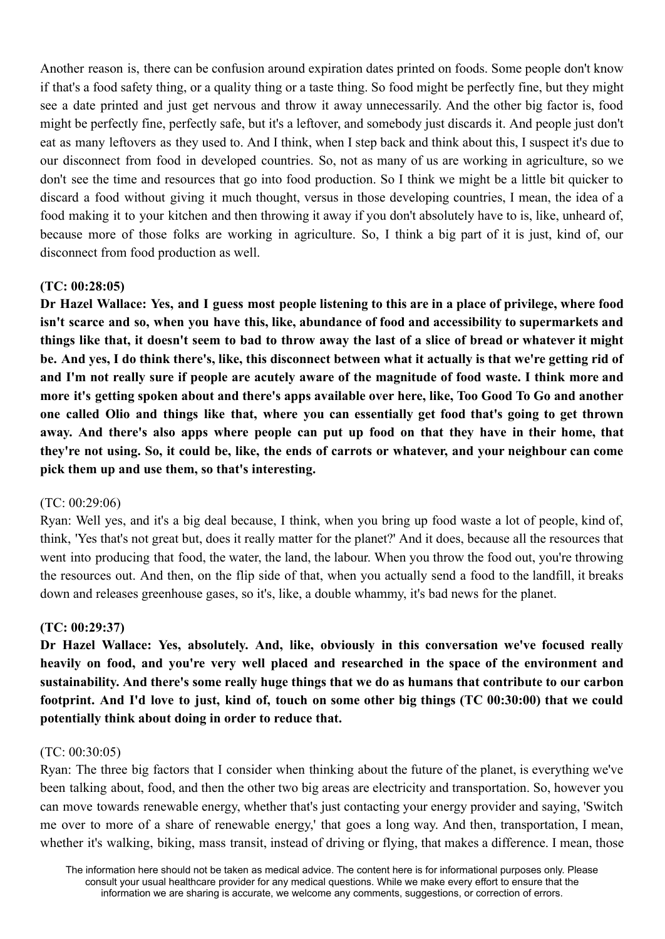Another reason is, there can be confusion around expiration dates printed on foods. Some people don't know if that's a food safety thing, or a quality thing or a taste thing. So food might be perfectly fine, but they might see a date printed and just get nervous and throw it away unnecessarily. And the other big factor is, food might be perfectly fine, perfectly safe, but it's a leftover, and somebody just discards it. And people just don't eat as many leftovers as they used to. And I think, when I step back and think about this, I suspect it's due to our disconnect from food in developed countries. So, not as many of us are working in agriculture, so we don't see the time and resources that go into food production. So I think we might be a little bit quicker to discard a food without giving it much thought, versus in those developing countries, I mean, the idea of a food making it to your kitchen and then throwing it away if you don't absolutely have to is, like, unheard of, because more of those folks are working in agriculture. So, I think a big part of it is just, kind of, our disconnect from food production as well.

### **(TC: 00:28:05)**

Dr Hazel Wallace: Yes, and I guess most people listening to this are in a place of privilege, where food **isn't scarce and so, when you have this, like, abundance of food and accessibility to supermarkets and** things like that, it doesn't seem to bad to throw away the last of a slice of bread or whatever it might be. And yes, I do think there's, like, this disconnect between what it actually is that we're getting rid of and I'm not really sure if people are acutely aware of the magnitude of food waste. I think more and more it's getting spoken about and there's apps available over here, like, Too Good To Go and another one called Olio and things like that, where you can essentially get food that's going to get thrown away. And there's also apps where people can put up food on that they have in their home, that they're not using. So, it could be, like, the ends of carrots or whatever, and your neighbour can come **pick them up and use them, so that's interesting.**

### (TC: 00:29:06)

Ryan: Well yes, and it's a big deal because, I think, when you bring up food waste a lot of people, kind of, think, 'Yes that's not great but, does it really matter for the planet?' And it does, because all the resources that went into producing that food, the water, the land, the labour. When you throw the food out, you're throwing the resources out. And then, on the flip side of that, when you actually send a food to the landfill, it breaks down and releases greenhouse gases, so it's, like, a double whammy, it's bad news for the planet.

## **(TC: 00:29:37)**

**Dr Hazel Wallace: Yes, absolutely. And, like, obviously in this conversation we've focused really heavily on food, and you're very well placed and researched in the space of the environment and sustainability. And there's some really huge things that we do as humans that contribute to our carbon** footprint. And I'd love to just, kind of, touch on some other big things (TC 00:30:00) that we could **potentially think about doing in order to reduce that.**

### (TC: 00:30:05)

Ryan: The three big factors that I consider when thinking about the future of the planet, is everything we've been talking about, food, and then the other two big areas are electricity and transportation. So, however you can move towards renewable energy, whether that's just contacting your energy provider and saying, 'Switch me over to more of a share of renewable energy,' that goes a long way. And then, transportation, I mean, whether it's walking, biking, mass transit, instead of driving or flying, that makes a difference. I mean, those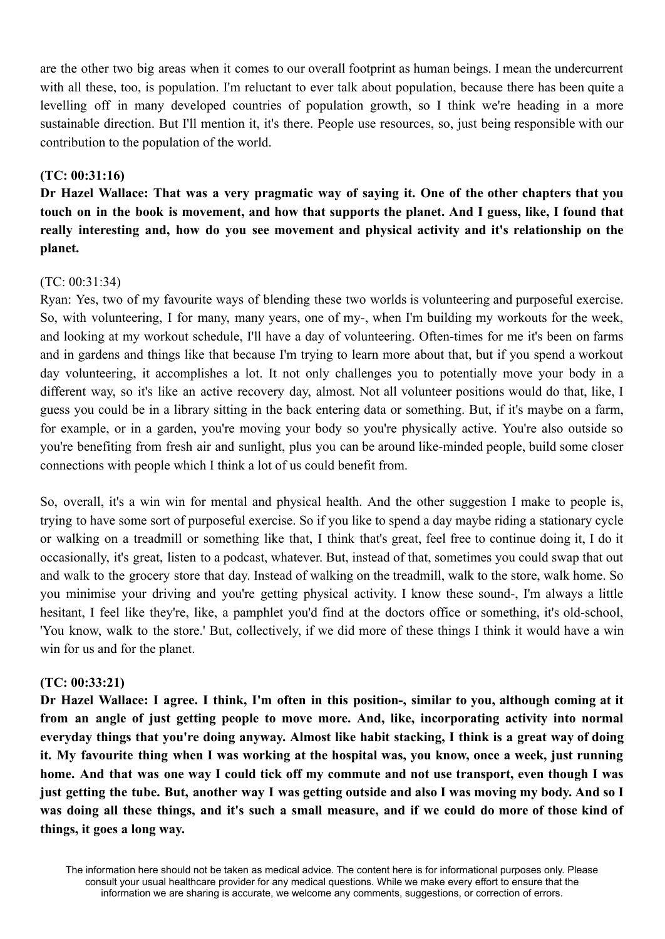are the other two big areas when it comes to our overall footprint as human beings. I mean the undercurrent with all these, too, is population. I'm reluctant to ever talk about population, because there has been quite a levelling off in many developed countries of population growth, so I think we're heading in a more sustainable direction. But I'll mention it, it's there. People use resources, so, just being responsible with our contribution to the population of the world.

# **(TC: 00:31:16)**

Dr Hazel Wallace: That was a very pragmatic way of saving it. One of the other chapters that you touch on in the book is movement, and how that supports the planet. And I guess, like, I found that **really interesting and, how do you see movement and physical activity and it's relationship on the planet.**

## (TC: 00:31:34)

Ryan: Yes, two of my favourite ways of blending these two worlds is volunteering and purposeful exercise. So, with volunteering, I for many, many years, one of my-, when I'm building my workouts for the week, and looking at my workout schedule, I'll have a day of volunteering. Often-times for me it's been on farms and in gardens and things like that because I'm trying to learn more about that, but if you spend a workout day volunteering, it accomplishes a lot. It not only challenges you to potentially move your body in a different way, so it's like an active recovery day, almost. Not all volunteer positions would do that, like, I guess you could be in a library sitting in the back entering data or something. But, if it's maybe on a farm, for example, or in a garden, you're moving your body so you're physically active. You're also outside so you're benefiting from fresh air and sunlight, plus you can be around like-minded people, build some closer connections with people which I think a lot of us could benefit from.

So, overall, it's a win win for mental and physical health. And the other suggestion I make to people is, trying to have some sort of purposeful exercise. So if you like to spend a day maybe riding a stationary cycle or walking on a treadmill or something like that, I think that's great, feel free to continue doing it, I do it occasionally, it's great, listen to a podcast, whatever. But, instead of that, sometimes you could swap that out and walk to the grocery store that day. Instead of walking on the treadmill, walk to the store, walk home. So you minimise your driving and you're getting physical activity. I know these sound-, I'm always a little hesitant, I feel like they're, like, a pamphlet you'd find at the doctors office or something, it's old-school, 'You know, walk to the store.' But, collectively, if we did more of these things I think it would have a win win for us and for the planet.

## **(TC: 00:33:21)**

Dr Hazel Wallace: I agree. I think, I'm often in this position-, similar to you, although coming at it **from an angle of just getting people to move more. And, like, incorporating activity into normal** everyday things that you're doing anyway. Almost like habit stacking, I think is a great way of doing it. My favourite thing when I was working at the hospital was, you know, once a week, just running home. And that was one way I could tick off my commute and not use transport, even though I was just getting the tube. But, another way I was getting outside and also I was moving my body. And so I was doing all these things, and it's such a small measure, and if we could do more of those kind of **things, it goes a long way.**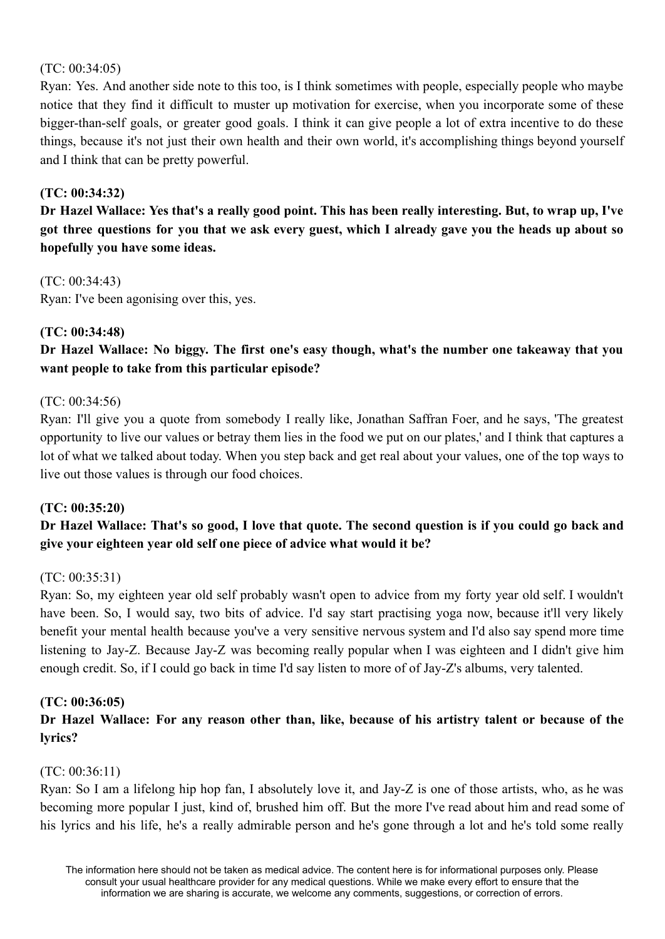### (TC: 00:34:05)

Ryan: Yes. And another side note to this too, is I think sometimes with people, especially people who maybe notice that they find it difficult to muster up motivation for exercise, when you incorporate some of these bigger-than-self goals, or greater good goals. I think it can give people a lot of extra incentive to do these things, because it's not just their own health and their own world, it's accomplishing things beyond yourself and I think that can be pretty powerful.

# **(TC: 00:34:32)**

Dr Hazel Wallace: Yes that's a really good point. This has been really interesting. But, to wrap up, I've got three questions for you that we ask every guest, which I already gave you the heads up about so **hopefully you have some ideas.**

(TC: 00:34:43) Ryan: I've been agonising over this, yes.

## **(TC: 00:34:48)**

**Dr Hazel Wallace: No biggy. The first one's easy though, what's the number one takeaway that you want people to take from this particular episode?**

## (TC: 00:34:56)

Ryan: I'll give you a quote from somebody I really like, Jonathan Saffran Foer, and he says, 'The greatest opportunity to live our values or betray them lies in the food we put on our plates,' and I think that captures a lot of what we talked about today. When you step back and get real about your values, one of the top ways to live out those values is through our food choices.

## **(TC: 00:35:20)**

# Dr Hazel Wallace: That's so good, I love that quote. The second question is if you could go back and **give your eighteen year old self one piece of advice what would it be?**

## (TC: 00:35:31)

Ryan: So, my eighteen year old self probably wasn't open to advice from my forty year old self. I wouldn't have been. So, I would say, two bits of advice. I'd say start practising yoga now, because it'll very likely benefit your mental health because you've a very sensitive nervous system and I'd also say spend more time listening to Jay-Z. Because Jay-Z was becoming really popular when I was eighteen and I didn't give him enough credit. So, if I could go back in time I'd say listen to more of of Jay-Z's albums, very talented.

## **(TC: 00:36:05)**

# Dr Hazel Wallace: For any reason other than, like, because of his artistry talent or because of the **lyrics?**

## (TC: 00:36:11)

Ryan: So I am a lifelong hip hop fan, I absolutely love it, and Jay-Z is one of those artists, who, as he was becoming more popular I just, kind of, brushed him off. But the more I've read about him and read some of his lyrics and his life, he's a really admirable person and he's gone through a lot and he's told some really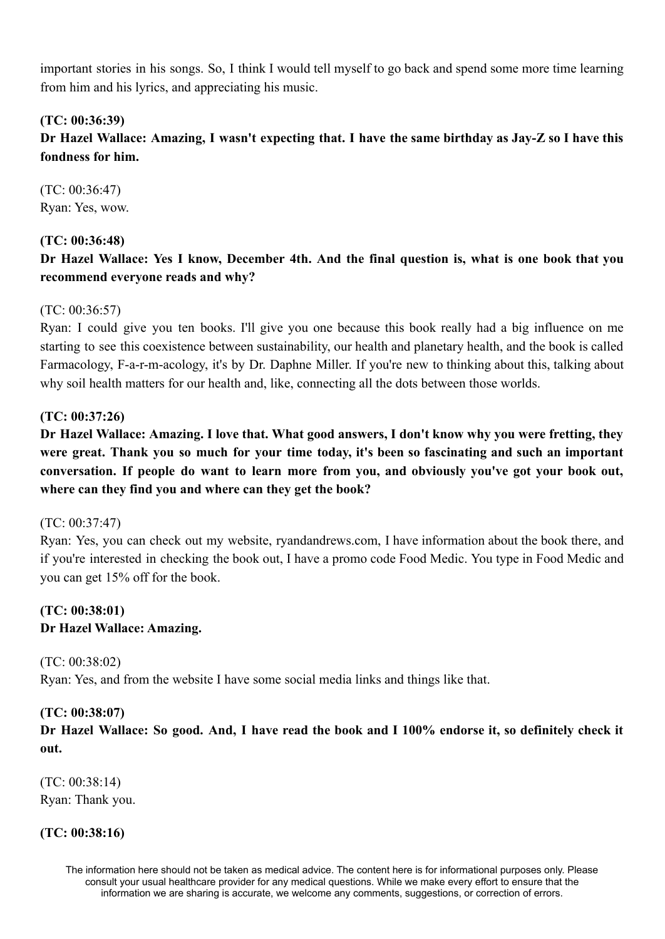important stories in his songs. So, I think I would tell myself to go back and spend some more time learning from him and his lyrics, and appreciating his music.

# **(TC: 00:36:39)**

Dr Hazel Wallace: Amazing, I wasn't expecting that. I have the same birthday as Jay-Z so I have this **fondness for him.**

(TC: 00:36:47) Ryan: Yes, wow.

# **(TC: 00:36:48)**

# Dr Hazel Wallace: Yes I know, December 4th. And the final question is, what is one book that you **recommend everyone reads and why?**

# (TC: 00:36:57)

Ryan: I could give you ten books. I'll give you one because this book really had a big influence on me starting to see this coexistence between sustainability, our health and planetary health, and the book is called Farmacology, F-a-r-m-acology, it's by Dr. Daphne Miller. If you're new to thinking about this, talking about why soil health matters for our health and, like, connecting all the dots between those worlds.

# **(TC: 00:37:26)**

Dr Hazel Wallace: Amazing. I love that. What good answers, I don't know why you were fretting, they **were great. Thank you so much for your time today, it's been so fascinating and such an important conversation. If people do want to learn more from you, and obviously you've got your book out, where can they find you and where can they get the book?**

## (TC: 00:37:47)

Ryan: Yes, you can check out my website, ryandandrews.com, I have information about the book there, and if you're interested in checking the book out, I have a promo code Food Medic. You type in Food Medic and you can get 15% off for the book.

# **(TC: 00:38:01) Dr Hazel Wallace: Amazing.**

(TC: 00:38:02) Ryan: Yes, and from the website I have some social media links and things like that.

## **(TC: 00:38:07)**

Dr Hazel Wallace: So good. And, I have read the book and I 100% endorse it, so definitely check it **out.**

(TC: 00:38:14) Ryan: Thank you.

## **(TC: 00:38:16)**